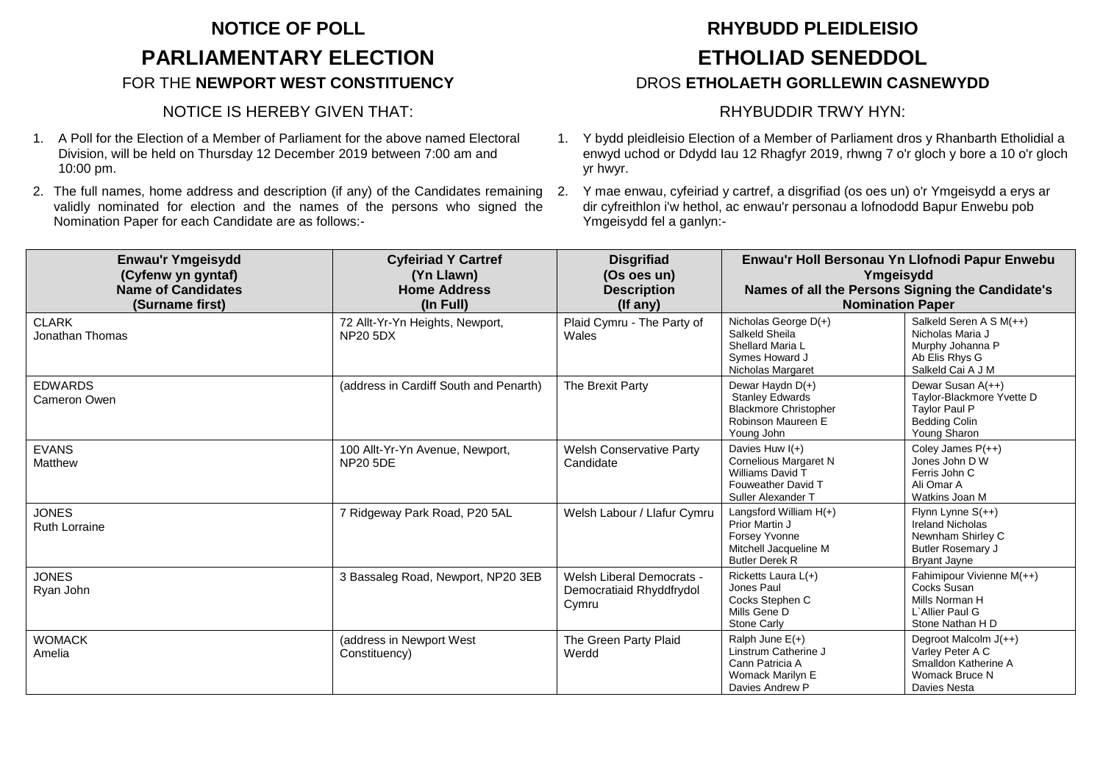## **NOTICE OF POLL RHYBUDD PLEIDLEISIO PARLIAMENTARY ELECTION ETHOLIAD SENEDDOL**

### NOTICE IS HEREBY GIVEN THAT: RHYBUDDIR TRWY HYN:

- 1. A Poll for the Election of a Member of Parliament for the above named Electoral Division, will be held on Thursday 12 December 2019 between 7:00 am and 10:00 pm.
- 2. The full names, home address and description (if any) of the Candidates remaining validly nominated for election and the names of the persons who signed the Nomination Paper for each Candidate are as follows:-

# FOR THE **NEWPORT WEST CONSTITUENCY** DROS **ETHOLAETH GORLLEWIN CASNEWYDD**

- 1. Y bydd pleidleisio Election of a Member of Parliament dros y Rhanbarth Etholidial a enwyd uchod or Ddydd Iau 12 Rhagfyr 2019, rhwng 7 o'r gloch y bore a 10 o'r gloch yr hwyr.
- 2. Y mae enwau, cyfeiriad y cartref, a disgrifiad (os oes un) o'r Ymgeisydd a erys ar dir cyfreithlon i'w hethol, ac enwau'r personau a lofnododd Bapur Enwebu pob Ymgeisydd fel a ganlyn:-

| <b>Enwau'r Ymgeisydd</b><br>(Cyfenw yn gyntaf)<br><b>Name of Candidates</b><br>(Surname first) | <b>Cyfeiriad Y Cartref</b><br>(Yn Llawn)<br><b>Home Address</b><br>(In Full) | <b>Disgrifiad</b><br>(Os oes un)<br><b>Description</b><br>$($ If any $)$ | Enwau'r Holl Bersonau Yn Llofnodi Papur Enwebu<br>Ymgeisydd<br>Names of all the Persons Signing the Candidate's<br><b>Nomination Paper</b> |                                                                                                                        |
|------------------------------------------------------------------------------------------------|------------------------------------------------------------------------------|--------------------------------------------------------------------------|--------------------------------------------------------------------------------------------------------------------------------------------|------------------------------------------------------------------------------------------------------------------------|
| <b>CLARK</b><br>Jonathan Thomas                                                                | 72 Allt-Yr-Yn Heights, Newport,<br><b>NP20 5DX</b>                           | Plaid Cymru - The Party of<br>Wales                                      | Nicholas George D(+)<br>Salkeld Sheila<br>Shellard Maria L<br>Symes Howard J<br>Nicholas Margaret                                          | Salkeld Seren A S M(++)<br>Nicholas Maria J<br>Murphy Johanna P<br>Ab Elis Rhys G<br>Salkeld Cai A J M                 |
| <b>EDWARDS</b><br>Cameron Owen                                                                 | (address in Cardiff South and Penarth)                                       | The Brexit Party                                                         | Dewar Haydn D(+)<br><b>Stanley Edwards</b><br><b>Blackmore Christopher</b><br>Robinson Maureen E<br>Young John                             | Dewar Susan A(++)<br>Taylor-Blackmore Yvette D<br><b>Taylor Paul P</b><br><b>Bedding Colin</b><br>Young Sharon         |
| <b>EVANS</b><br>Matthew                                                                        | 100 Allt-Yr-Yn Avenue, Newport,<br><b>NP20 5DE</b>                           | <b>Welsh Conservative Party</b><br>Candidate                             | Davies Huw $I(+)$<br><b>Cornelious Margaret N</b><br>Williams David T<br>Fouweather David T<br>Suller Alexander T                          | Coley James $P(++)$<br>Jones John D W<br>Ferris John C<br>Ali Omar A<br>Watkins Joan M                                 |
| <b>JONES</b><br><b>Ruth Lorraine</b>                                                           | 7 Ridgeway Park Road, P20 5AL                                                | Welsh Labour / Llafur Cymru                                              | Langsford William $H(+)$<br>Prior Martin J<br>Forsey Yvonne<br>Mitchell Jacqueline M<br><b>Butler Derek R</b>                              | Flynn Lynne $S(++)$<br><b>Ireland Nicholas</b><br>Newnham Shirley C<br><b>Butler Rosemary J</b><br><b>Bryant Jayne</b> |
| <b>JONES</b><br>Ryan John                                                                      | 3 Bassaleg Road, Newport, NP20 3EB                                           | <b>Welsh Liberal Democrats -</b><br>Democratiaid Rhyddfrydol<br>Cymru    | Ricketts Laura L(+)<br>Jones Paul<br>Cocks Stephen C<br>Mills Gene D<br>Stone Carly                                                        | Fahimipour Vivienne M(++)<br>Cocks Susan<br>Mills Norman H<br>L'Allier Paul G<br>Stone Nathan H D                      |
| <b>WOMACK</b><br>Amelia                                                                        | (address in Newport West<br>Constituency)                                    | The Green Party Plaid<br>Werdd                                           | Ralph June $E(+)$<br>Linstrum Catherine J<br>Cann Patricia A<br>Womack Marilyn E<br>Davies Andrew P                                        | Degroot Malcolm J(++)<br>Varley Peter A C<br>Smalldon Katherine A<br>Womack Bruce N<br>Davies Nesta                    |